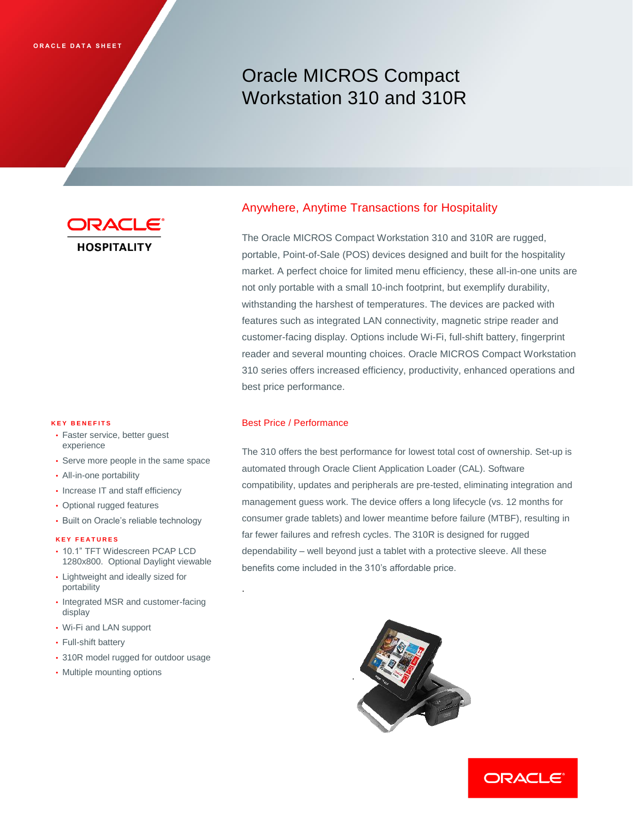# Oracle MICROS Compact Workstation 310 and 310R

ORAC **HOSPITALITY** 

#### **K E Y B E N E F I T S**

- Faster service, better guest experience
- Serve more people in the same space
- All-in-one portability
- Increase IT and staff efficiency
- Optional rugged features
- Built on Oracle's reliable technology

### **K E Y F E A T U R E S**

- 10.1" TFT Widescreen PCAP LCD 1280x800. Optional Daylight viewable
- Lightweight and ideally sized for portability
- Integrated MSR and customer-facing display
- Wi-Fi and LAN support
- Full-shift battery
- 310R model rugged for outdoor usage
- Multiple mounting options

# Anywhere, Anytime Transactions for Hospitality

The Oracle MICROS Compact Workstation 310 and 310R are rugged, portable, Point-of-Sale (POS) devices designed and built for the hospitality market. A perfect choice for limited menu efficiency, these all-in-one units are not only portable with a small 10-inch footprint, but exemplify durability, withstanding the harshest of temperatures. The devices are packed with features such as integrated LAN connectivity, magnetic stripe reader and customer-facing display. Options include Wi-Fi, full-shift battery, fingerprint reader and several mounting choices. Oracle MICROS Compact Workstation 310 series offers increased efficiency, productivity, enhanced operations and best price performance.

## Best Price / Performance

.

The 310 offers the best performance for lowest total cost of ownership. Set-up is automated through Oracle Client Application Loader (CAL). Software compatibility, updates and peripherals are pre-tested, eliminating integration and management guess work. The device offers a long lifecycle (vs. 12 months for consumer grade tablets) and lower meantime before failure (MTBF), resulting in far fewer failures and refresh cycles. The 310R is designed for rugged dependability – well beyond just a tablet with a protective sleeve. All these benefits come included in the 310's affordable price.



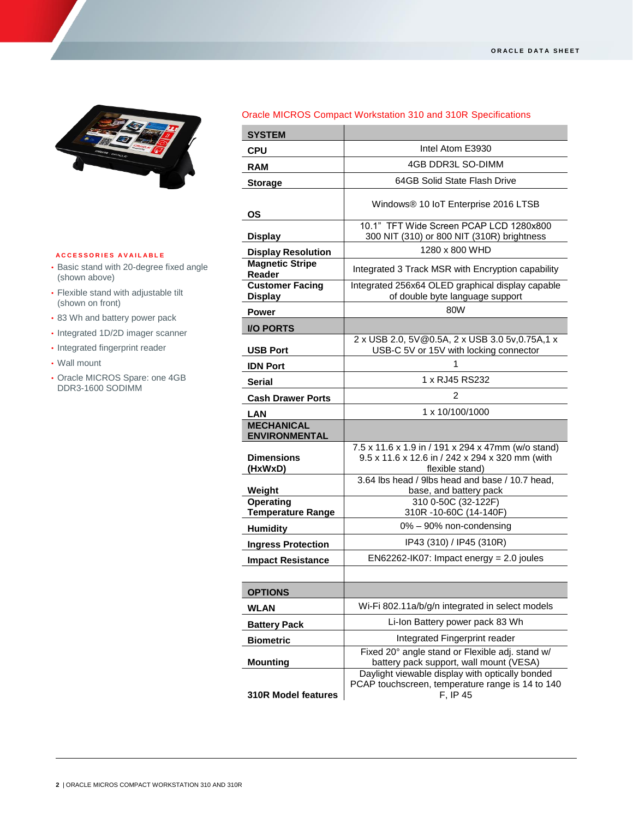

## **A C C E S S O R I E S A V A I L A B L E**

- Basic stand with 20-degree fixed angle (shown above)
- Flexible stand with adjustable tilt (shown on front)
- 83 Wh and battery power pack
- Integrated 1D/2D imager scanner
- Integrated fingerprint reader
- Wall mount
- Oracle MICROS Spare: one 4GB DDR3-1600 SODIMM

## Oracle MICROS Compact Workstation 310 and 310R Specifications

| <b>SYSTEM</b>                             |                                                                                                                          |
|-------------------------------------------|--------------------------------------------------------------------------------------------------------------------------|
| <b>CPU</b>                                | Intel Atom E3930                                                                                                         |
| <b>RAM</b>                                | 4GB DDR3L SO-DIMM                                                                                                        |
| <b>Storage</b>                            | 64GB Solid State Flash Drive                                                                                             |
| <b>OS</b>                                 | Windows® 10 IoT Enterprise 2016 LTSB                                                                                     |
| <b>Display</b>                            | 10.1" TFT Wide Screen PCAP LCD 1280x800<br>300 NIT (310) or 800 NIT (310R) brightness                                    |
| <b>Display Resolution</b>                 | 1280 x 800 WHD                                                                                                           |
| <b>Magnetic Stripe</b><br>Reader          | Integrated 3 Track MSR with Encryption capability                                                                        |
| <b>Customer Facing</b><br><b>Display</b>  | Integrated 256x64 OLED graphical display capable<br>of double byte language support                                      |
| Power                                     | 80W                                                                                                                      |
| <b>I/O PORTS</b>                          |                                                                                                                          |
| <b>USB Port</b>                           | 2 x USB 2.0, 5V@0.5A, 2 x USB 3.0 5v,0.75A,1 x<br>USB-C 5V or 15V with locking connector                                 |
| <b>IDN Port</b>                           | 1                                                                                                                        |
| Serial                                    | 1 x RJ45 RS232                                                                                                           |
| <b>Cash Drawer Ports</b>                  | 2                                                                                                                        |
| <b>LAN</b>                                | 1 x 10/100/1000                                                                                                          |
| <b>MECHANICAL</b><br><b>ENVIRONMENTAL</b> |                                                                                                                          |
| <b>Dimensions</b><br>(HxWxD)              | 7.5 x 11.6 x 1.9 in / 191 x 294 x 47mm (w/o stand)<br>9.5 x 11.6 x 12.6 in / 242 x 294 x 320 mm (with<br>flexible stand) |
| Weight                                    | 3.64 lbs head / 9lbs head and base / 10.7 head,<br>base, and battery pack                                                |
| <b>Operating</b>                          | 310 0-50C (32-122F)                                                                                                      |
| <b>Temperature Range</b>                  | 310R-10-60C (14-140F)<br>0% - 90% non-condensing                                                                         |
| <b>Humidity</b>                           | IP43 (310) / IP45 (310R)                                                                                                 |
| <b>Ingress Protection</b>                 | $EN62262$ -IK07: Impact energy = 2.0 joules                                                                              |
| <b>Impact Resistance</b>                  |                                                                                                                          |
| <b>OPTIONS</b>                            |                                                                                                                          |
| <b>WLAN</b>                               | Wi-Fi 802.11a/b/g/n integrated in select models                                                                          |
| <b>Battery Pack</b>                       | Li-Ion Battery power pack 83 Wh                                                                                          |
| <b>Biometric</b>                          | Integrated Fingerprint reader                                                                                            |
|                                           | Fixed 20° angle stand or Flexible adj. stand w/                                                                          |
| <b>Mounting</b>                           | battery pack support, wall mount (VESA)<br>Daylight viewable display with optically bonded                               |
| <b>310R Model features</b>                | PCAP touchscreen, temperature range is 14 to 140<br>F, IP 45                                                             |